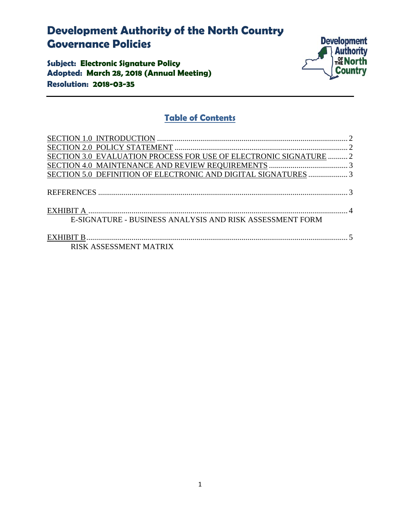# **Development Authority of the North Country Governance Policies**

**Subject: Electronic Signature Policy Adopted: March 28, 2018 (Annual Meeting) Resolution: 2018-03-35** 



## **Table of Contents**

| SECTION 3.0 EVALUATION PROCESS FOR USE OF ELECTRONIC SIGNATURE  2 |  |
|-------------------------------------------------------------------|--|
|                                                                   |  |
| SECTION 5.0 DEFINITION OF ELECTRONIC AND DIGITAL SIGNATURES  3    |  |
|                                                                   |  |
|                                                                   |  |
|                                                                   |  |
| E-SIGNATURE - BUSINESS ANALYSIS AND RISK ASSESSMENT FORM          |  |
|                                                                   |  |
|                                                                   |  |
| RISK ASSESSMENT MATRIX                                            |  |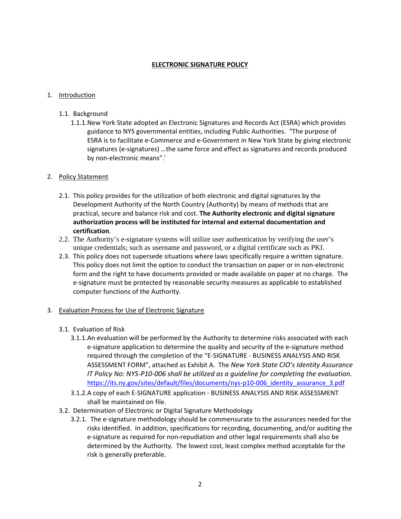#### **ELECTRONIC SIGNATURE POLICY**

#### 1. Introduction

- 1.1. Background
	- 1.1.1.New York State adopted an Electronic Signatures and Records Act (ESRA) which provides guidance to NYS governmental entities, including Public Authorities. "The purpose of ESRA is to facilitate e‐Commerce and e‐Government in New York State by giving electronic signatures (e‐signatures) …the same force and effect as signatures and records produced by non-electronic means".

#### 2. Policy Statement

- 2.1. This policy provides for the utilization of both electronic and digital signatures by the Development Authority of the North Country (Authority) by means of methods that are practical, secure and balance risk and cost. **The Authority electronic and digital signature authorization process will be instituted for internal and external documentation and certification**.
- 2.2. The Authority's e-signature systems will utilize user authentication by verifying the user's unique credentials; such as username and password, or a digital certificate such as PKI.
- 2.3. This policy does not supersede situations where laws specifically require a written signature. This policy does not limit the option to conduct the transaction on paper or in non‐electronic form and the right to have documents provided or made available on paper at no charge. The e‐signature must be protected by reasonable security measures as applicable to established computer functions of the Authority.

#### 3. Evaluation Process for Use of Electronic Signature

- 3.1. Evaluation of Risk
	- 3.1.1.An evaluation will be performed by the Authority to determine risks associated with each e‐signature application to determine the quality and security of the e‐signature method required through the completion of the "E‐SIGNATURE ‐ BUSINESS ANALYSIS AND RISK ASSESSMENT FORM", attached as Exhibit A. The *New York State CIO's Identity Assurance* IT Policy No: NYS-P10-006 shall be utilized as a guideline for completing the evaluation. https://its.ny.gov/sites/default/files/documents/nys-p10-006\_identity\_assurance\_3.pdf
	- 3.1.2.A copy of each E‐SIGNATURE application ‐ BUSINESS ANALYSIS AND RISK ASSESSMENT shall be maintained on file.
- 3.2. Determination of Electronic or Digital Signature Methodology
	- 3.2.1. The e‐signature methodology should be commensurate to the assurances needed for the risks identified. In addition, specifications for recording, documenting, and/or auditing the e‐signature as required for non‐repudiation and other legal requirements shall also be determined by the Authority. The lowest cost, least complex method acceptable for the risk is generally preferable.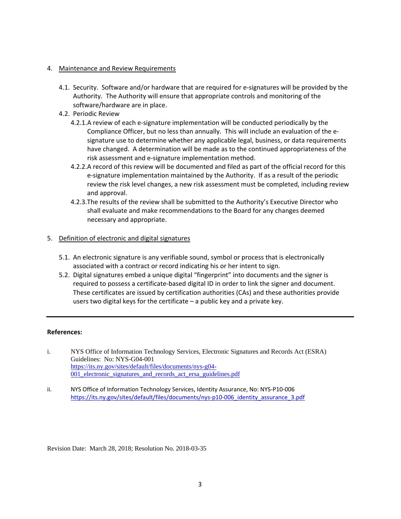#### 4. Maintenance and Review Requirements

- 4.1. Security. Software and/or hardware that are required for e‐signatures will be provided by the Authority. The Authority will ensure that appropriate controls and monitoring of the software/hardware are in place.
- 4.2. Periodic Review
	- 4.2.1.A review of each e‐signature implementation will be conducted periodically by the Compliance Officer, but no less than annually. This will include an evaluation of the e‐ signature use to determine whether any applicable legal, business, or data requirements have changed. A determination will be made as to the continued appropriateness of the risk assessment and e‐signature implementation method.
	- 4.2.2.A record of this review will be documented and filed as part of the official record for this e‐signature implementation maintained by the Authority. If as a result of the periodic review the risk level changes, a new risk assessment must be completed, including review and approval.
	- 4.2.3.The results of the review shall be submitted to the Authority's Executive Director who shall evaluate and make recommendations to the Board for any changes deemed necessary and appropriate.

#### 5. Definition of electronic and digital signatures

- 5.1. An electronic signature is any verifiable sound, symbol or process that is electronically associated with a contract or record indicating his or her intent to sign.
- 5.2. Digital signatures embed a unique digital "fingerprint" into documents and the signer is required to possess a certificate‐based digital ID in order to link the signer and document. These certificates are issued by certification authorities (CAs) and these authorities provide users two digital keys for the certificate – a public key and a private key.

#### **References:**

- i. NYS Office of Information Technology Services, Electronic Signatures and Records Act (ESRA) Guidelines: No: NYS-G04-001 https://its.ny.gov/sites/default/files/documents/nys-g04- 001 electronic signatures and records act ersa guidelines.pdf
- ii. NYS Office of Information Technology Services, Identity Assurance, No: NYS-P10-006 https://its.ny.gov/sites/default/files/documents/nys-p10-006\_identity\_assurance\_3.pdf

Revision Date: March 28, 2018; Resolution No. 2018-03-35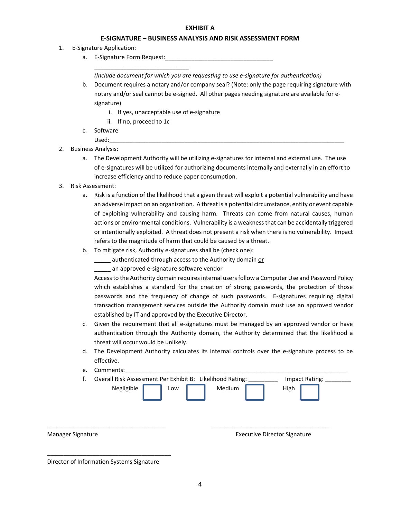#### **EXHIBIT A**

#### **E‐SIGNATURE – BUSINESS ANALYSIS AND RISK ASSESSMENT FORM**

- 1. E‐Signature Application:
	- a. E-Signature Form Request:

*(Include document for which you are requesting to use e‐signature for authentication)*

- b. Document requires a notary and/or company seal? (Note: only the page requiring signature with notary and/or seal cannot be e‐signed. All other pages needing signature are available for e‐ signature)
	- i. If yes, unacceptable use of e‐signature
	- ii. If no, proceed to 1c

\_\_\_\_\_\_\_\_\_\_\_\_\_\_\_\_\_\_\_\_\_\_\_\_\_\_\_\_\_

- c. Software
- Used:\_\_\_\_\_\_\_\_\_\_\_\_\_\_\_\_\_\_\_\_\_\_\_\_\_\_\_\_\_\_\_\_\_\_\_\_\_\_\_\_\_\_\_\_\_\_\_\_\_\_\_\_\_\_\_\_\_\_\_\_\_\_\_\_\_\_\_\_\_\_\_\_
- 2. Business Analysis:
	- a. The Development Authority will be utilizing e-signatures for internal and external use. The use of e‐signatures will be utilized for authorizing documents internally and externally in an effort to increase efficiency and to reduce paper consumption.
- 3. Risk Assessment:
	- a. Risk is a function of the likelihood that a given threat will exploit a potential vulnerability and have an adverse impact on an organization. A threat is a potential circumstance, entity or event capable of exploiting vulnerability and causing harm. Threats can come from natural causes, human actions or environmental conditions. Vulnerability is a weaknessthat can be accidentally triggered or intentionally exploited. A threat does not present a risk when there is no vulnerability. Impact refers to the magnitude of harm that could be caused by a threat.
	- b. To mitigate risk, Authority e‐signatures shall be (check one):
		- **\_\_\_\_\_** authenticated through access to the Authority domain or
			- **\_\_\_\_\_** an approved e‐signature software vendor

Access to the Authority domain requires internal users follow a Computer Use and Password Policy which establishes a standard for the creation of strong passwords, the protection of those passwords and the frequency of change of such passwords. E‐signatures requiring digital transaction management services outside the Authority domain must use an approved vendor established by IT and approved by the Executive Director.

- c. Given the requirement that all e‐signatures must be managed by an approved vendor or have authentication through the Authority domain, the Authority determined that the likelihood a threat will occur would be unlikely.
- d. The Development Authority calculates its internal controls over the e‐signature process to be effective.
- e. Comments:

| Manager Signature |                                                                         |     |        | <b>Executive Director Signature</b> |                |  |
|-------------------|-------------------------------------------------------------------------|-----|--------|-------------------------------------|----------------|--|
|                   | Overall Risk Assessment Per Exhibit B: Likelihood Rating:<br>Negligible | Low | Medium | High                                | Impact Rating: |  |
|                   |                                                                         |     |        |                                     |                |  |

Director of Information Systems Signature

\_\_\_\_\_\_\_\_\_\_\_\_\_\_\_\_\_\_\_\_\_\_\_\_\_\_\_\_\_\_\_\_\_\_\_\_\_\_